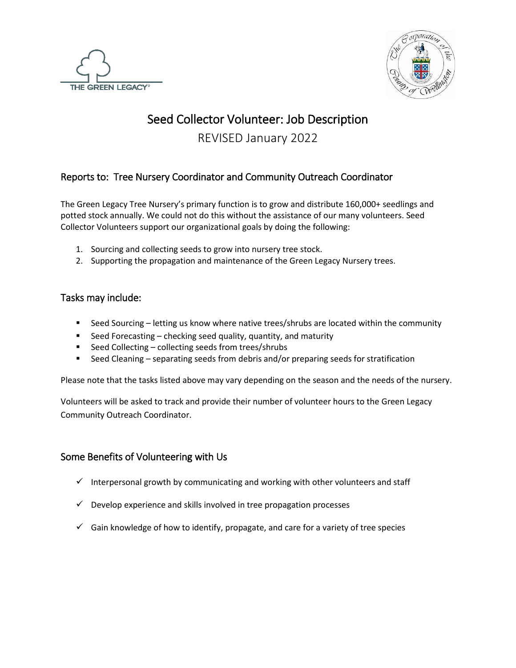



# Seed Collector Volunteer: Job Description

REVISED January 2022

## Reports to: Tree Nursery Coordinator and Community Outreach Coordinator

The Green Legacy Tree Nursery's primary function is to grow and distribute 160,000+ seedlings and potted stock annually. We could not do this without the assistance of our many volunteers. Seed Collector Volunteers support our organizational goals by doing the following:

- 1. Sourcing and collecting seeds to grow into nursery tree stock.
- 2. Supporting the propagation and maintenance of the Green Legacy Nursery trees.

### Tasks may include:

- Seed Sourcing letting us know where native trees/shrubs are located within the community
- Seed Forecasting checking seed quality, quantity, and maturity
- Seed Collecting collecting seeds from trees/shrubs
- Seed Cleaning separating seeds from debris and/or preparing seeds for stratification

Please note that the tasks listed above may vary depending on the season and the needs of the nursery.

Volunteers will be asked to track and provide their number of volunteer hours to the Green Legacy Community Outreach Coordinator.

## Some Benefits of Volunteering with Us

- $\checkmark$  Interpersonal growth by communicating and working with other volunteers and staff
- $\checkmark$  Develop experience and skills involved in tree propagation processes
- $\checkmark$  Gain knowledge of how to identify, propagate, and care for a variety of tree species